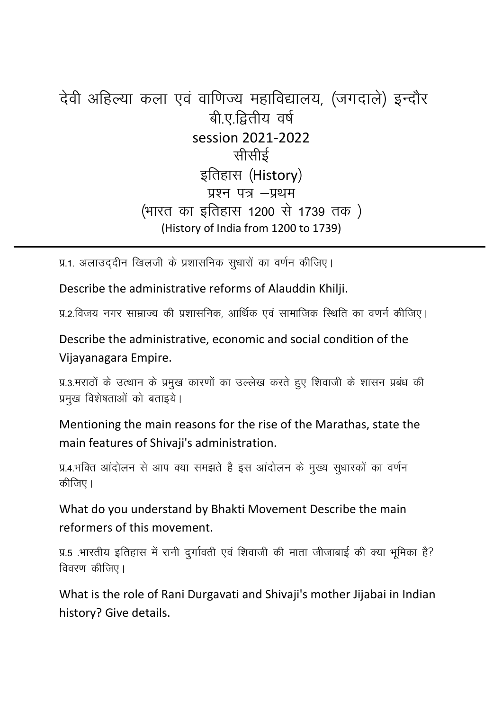## देवी अहिल्या कला एवं वाणिज्य महाविद्यालय, (जगदाले) इन्दौर बी.ए.द्वितीय वर्ष session 2021-2022 सीर्साई इतिहास (History) प्रश्न पत्र -प्रथम (भारत का इतिहास 1200 से 1739 तक) (History of India from 1200 to 1739)

प्र.1. अलाउददीन खिलजी के प्रशासनिक सुधारों का वर्णन कीजिए।

Describe the administrative reforms of Alauddin Khilji.

प्र.२.विजय नगर साम्राज्य की प्रशासनिक, आर्थिक एवं सामाजिक स्थिति का वणर्न कीजिए।

Describe the administrative, economic and social condition of the Vijayanagara Empire.

प्र.3.मराठों के उत्थान के प्रमुख कारणों का उल्लेख करते हुए शिवाजी के शासन प्रबंध की प्रमुख विशेषताओं को बताइये।

Mentioning the main reasons for the rise of the Marathas, state the main features of Shivaji's administration.

प्र.4.भक्ति आंदोलन से आप क्या समझते है इस आंदोलन के मुख्य सुधारकों का वर्णन कीजिए।

What do you understand by Bhakti Movement Describe the main reformers of this movement.

प्र.5 .भारतीय इतिहास में रानी दुर्गावती एवं शिवाजी की माता जीजाबाई की क्या भूमिका है? विवरण कीजिए।

What is the role of Rani Durgavati and Shivaji's mother Jijabai in Indian history? Give details.